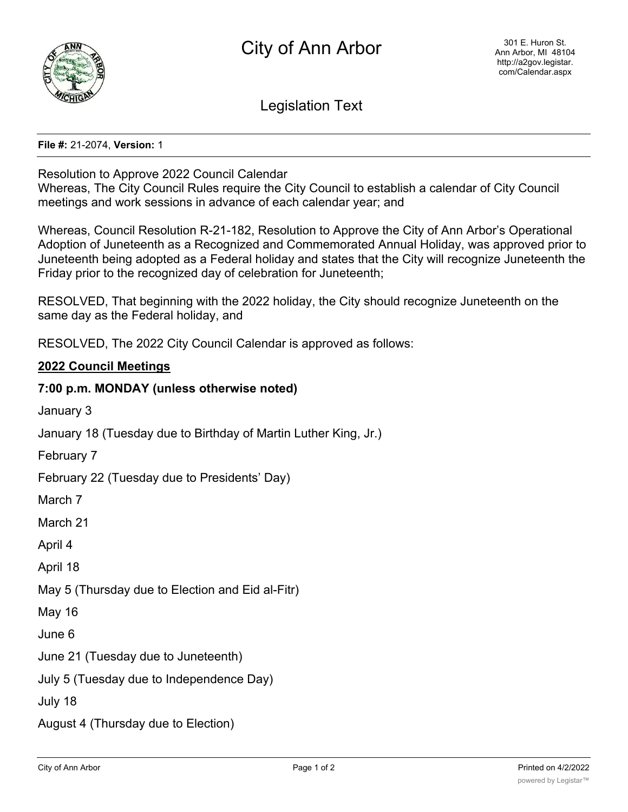

Legislation Text

#### **File #:** 21-2074, **Version:** 1

#### Resolution to Approve 2022 Council Calendar

Whereas, The City Council Rules require the City Council to establish a calendar of City Council meetings and work sessions in advance of each calendar year; and

Whereas, Council Resolution R-21-182, Resolution to Approve the City of Ann Arbor's Operational Adoption of Juneteenth as a Recognized and Commemorated Annual Holiday, was approved prior to Juneteenth being adopted as a Federal holiday and states that the City will recognize Juneteenth the Friday prior to the recognized day of celebration for Juneteenth;

RESOLVED, That beginning with the 2022 holiday, the City should recognize Juneteenth on the same day as the Federal holiday, and

RESOLVED, The 2022 City Council Calendar is approved as follows:

## **2022 Council Meetings**

## **7:00 p.m. MONDAY (unless otherwise noted)**

January 3

January 18 (Tuesday due to Birthday of Martin Luther King, Jr.)

February 7

February 22 (Tuesday due to Presidents' Day)

March 7

March 21

April 4

April 18

May 5 (Thursday due to Election and Eid al-Fitr)

May 16

June 6

June 21 (Tuesday due to Juneteenth)

July 5 (Tuesday due to Independence Day)

July 18

August 4 (Thursday due to Election)